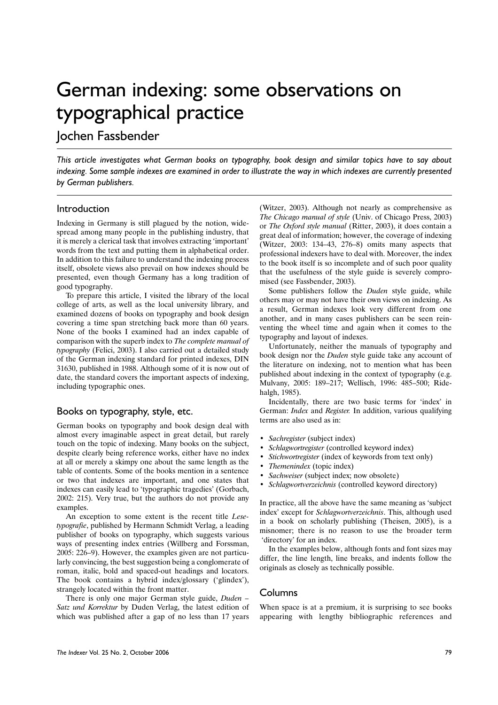# German indexing: some observations on typographical practice

Jochen Fassbender

*This article investigates what German books on typography, book design and similar topics have to say about indexing. Some sample indexes are examined in order to illustrate the way in which indexes are currently presented by German publishers.*

### Introduction

Indexing in Germany is still plagued by the notion, widespread among many people in the publishing industry, that it is merely a clerical task that involves extracting 'important' words from the text and putting them in alphabetical order. In addition to this failure to understand the indexing process itself, obsolete views also prevail on how indexes should be presented, even though Germany has a long tradition of good typography.

To prepare this article, I visited the library of the local college of arts, as well as the local university library, and examined dozens of books on typography and book design covering a time span stretching back more than 60 years. None of the books I examined had an index capable of comparison with the superb index to *The complete manual of typography* (Felici, 2003). I also carried out a detailed study of the German indexing standard for printed indexes, DIN 31630, published in 1988. Although some of it is now out of date, the standard covers the important aspects of indexing, including typographic ones.

## Books on typography, style, etc.

German books on typography and book design deal with almost every imaginable aspect in great detail, but rarely touch on the topic of indexing. Many books on the subject, despite clearly being reference works, either have no index at all or merely a skimpy one about the same length as the table of contents. Some of the books mention in a sentence or two that indexes are important, and one states that indexes can easily lead to 'typographic tragedies' (Gorbach, 2002: 215). Very true, but the authors do not provide any examples.

An exception to some extent is the recent title *Lesetypografie*, published by Hermann Schmidt Verlag, a leading publisher of books on typography, which suggests various ways of presenting index entries (Willberg and Forssman, 2005: 226–9). However, the examples given are not particularly convincing, the best suggestion being a conglomerate of roman, italic, bold and spaced-out headings and locators. The book contains a hybrid index/glossary ('glindex'), strangely located within the front matter.

There is only one major German style guide, *Duden – Satz und Korrektur* by Duden Verlag, the latest edition of which was published after a gap of no less than 17 years (Witzer, 2003). Although not nearly as comprehensive as *The Chicago manual of style* (Univ. of Chicago Press, 2003) or *The Oxford style manual* (Ritter, 2003), it does contain a great deal of information; however, the coverage of indexing (Witzer, 2003: 134–43, 276–8) omits many aspects that professional indexers have to deal with. Moreover, the index to the book itself is so incomplete and of such poor quality that the usefulness of the style guide is severely compromised (see Fassbender, 2003).

Some publishers follow the *Duden* style guide, while others may or may not have their own views on indexing. As a result, German indexes look very different from one another, and in many cases publishers can be seen reinventing the wheel time and again when it comes to the typography and layout of indexes.

Unfortunately, neither the manuals of typography and book design nor the *Duden* style guide take any account of the literature on indexing, not to mention what has been published about indexing in the context of typography (e.g. Mulvany, 2005: 189–217; Wellisch, 1996: 485–500; Ridehalgh, 1985).

Incidentally, there are two basic terms for 'index' in German: *Index* and *Register.* In addition, various qualifying terms are also used as in:

- *Sachregister* (subject index)
- *Schlagwortregister* (controlled keyword index)
- *Stichwortregister* (index of keywords from text only)
- *Themenindex* (topic index)
- *Sachweiser* (subject index; now obsolete)
- *Schlagwortverzeichnis* (controlled keyword directory)

In practice, all the above have the same meaning as 'subject index' except for *Schlagwortverzeichnis*. This, although used in a book on scholarly publishing (Theisen, 2005), is a misnomer; there is no reason to use the broader term 'directory' for an index.

In the examples below, although fonts and font sizes may differ, the line length, line breaks, and indents follow the originals as closely as technically possible.

## Columns

When space is at a premium, it is surprising to see books appearing with lengthy bibliographic references and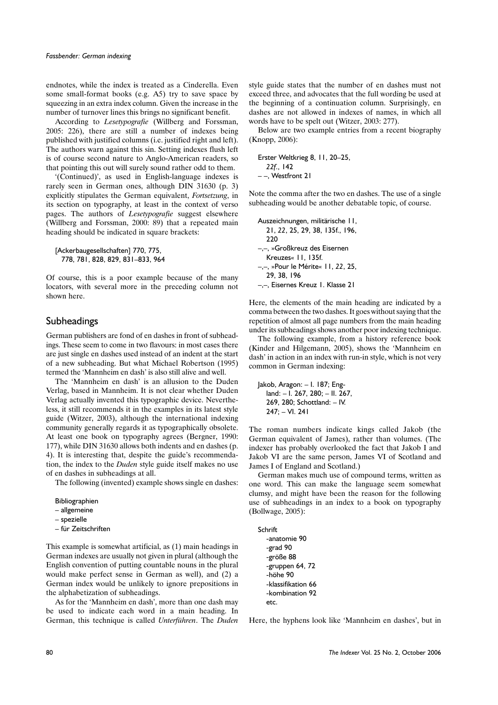endnotes, while the index is treated as a Cinderella. Even some small-format books (e.g. A5) try to save space by squeezing in an extra index column. Given the increase in the number of turnover lines this brings no significant benefit.

According to *Lesetypografie* (Willberg and Forssman, 2005: 226), there are still a number of indexes being published with justified columns (i.e. justified right and left). The authors warn against this sin. Setting indexes flush left is of course second nature to Anglo-American readers, so that pointing this out will surely sound rather odd to them.

'(Continued)', as used in English-language indexes is rarely seen in German ones, although DIN 31630 (p. 3) explicitly stipulates the German equivalent, *Fortsetzung*, in its section on typography, at least in the context of verso pages. The authors of *Lesetypografie* suggest elsewhere (Willberg and Forssman, 2000: 89) that a repeated main heading should be indicated in square brackets:

[Ackerbaugesellschaften] 770, 775, 778, 781, 828, 829, 831–833, 964

Of course, this is a poor example because of the many locators, with several more in the preceding column not shown here.

## Subheadings

German publishers are fond of en dashes in front of subheadings. These seem to come in two flavours: in most cases there are just single en dashes used instead of an indent at the start of a new subheading. But what Michael Robertson (1995) termed the 'Mannheim en dash' is also still alive and well.

The 'Mannheim en dash' is an allusion to the Duden Verlag, based in Mannheim. It is not clear whether Duden Verlag actually invented this typographic device. Nevertheless, it still recommends it in the examples in its latest style guide (Witzer, 2003), although the international indexing community generally regards it as typographically obsolete. At least one book on typography agrees (Bergner, 1990: 177), while DIN 31630 allows both indents and en dashes (p. 4). It is interesting that, despite the guide's recommendation, the index to the *Duden* style guide itself makes no use of en dashes in subheadings at all.

The following (invented) example shows single en dashes:

```
Bibliographien
```

```
– allgemeine
```

```
– spezielle
```
– für Zeitschriften

This example is somewhat artificial, as (1) main headings in German indexes are usually not given in plural (although the English convention of putting countable nouns in the plural would make perfect sense in German as well), and (2) a German index would be unlikely to ignore prepositions in the alphabetization of subheadings.

As for the 'Mannheim en dash', more than one dash may be used to indicate each word in a main heading. In German, this technique is called *Unterführen*. The *Duden* style guide states that the number of en dashes must not exceed three, and advocates that the full wording be used at the beginning of a continuation column. Surprisingly, en dashes are not allowed in indexes of names, in which all words have to be spelt out (Witzer, 2003: 277).

Below are two example entries from a recent biography (Knopp, 2006):

```
Erster Weltkrieg 8, 11, 20–25,
  22f., 142
 –, Westfront 21
```
Note the comma after the two en dashes. The use of a single subheading would be another debatable topic, of course.

```
Auszeichnungen, militärische 11,
  21, 22, 25, 29, 38, 135f., 196,
  220
–,–, »Großkreuz des Eisernen
  Kreuzes« 11, 135f.
–,–, »Pour le Mérite« 11, 22, 25,
  29, 38, 196
–,–, Eisernes Kreuz 1. Klasse 21
```
Here, the elements of the main heading are indicated by a comma between the two dashes. It goes without saying that the repetition of almost all page numbers from the main heading under its subheadings shows another poor indexing technique.

The following example, from a history reference book (Kinder and Hilgemann, 2005), shows the 'Mannheim en dash' in action in an index with run-in style, which is not very common in German indexing:

```
Jakob, Aragon: – I. 187; Eng-
  land: – I. 267, 280; – II. 267,
  269, 280; Schottland: – IV.
  247; – VI. 241
```
The roman numbers indicate kings called Jakob (the German equivalent of James), rather than volumes. (The indexer has probably overlooked the fact that Jakob I and Jakob VI are the same person, James VI of Scotland and James I of England and Scotland.)

German makes much use of compound terms, written as one word. This can make the language seem somewhat clumsy, and might have been the reason for the following use of subheadings in an index to a book on typography (Bollwage, 2005):

```
Schrift
  -anatomie 90
  -grad 90
  -größe 88
  -gruppen 64, 72
  -höhe 90
  -klassifikation 66
  -kombination 92
  etc.
```
Here, the hyphens look like 'Mannheim en dashes', but in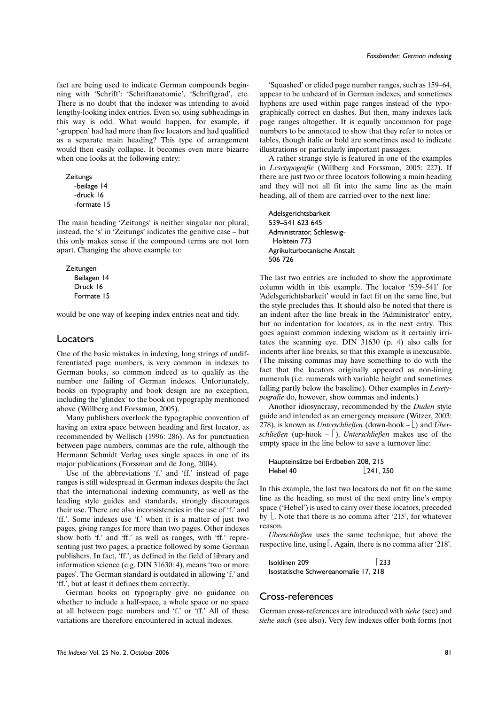fact are being used to indicate German compounds beginning with 'Schrift': 'Schriftanatomie', 'Schriftgrad', etc. There is no doubt that the indexer was intending to avoid lengthy-looking index entries. Even so, using subheadings in this way is odd. What would happen, for example, if '-gruppen' had had more than five locators and had qualified as a separate main heading? This type of arrangement would then easily collapse. It becomes even more bizarre when one looks at the following entry:

```
Zeitungs
  -beilage 14
  -druck 16
  -formate 15
```
The main heading 'Zeitungs' is neither singular nor plural; instead, the 's' in 'Zeitungs' indicates the genitive case – but this only makes sense if the compound terms are not torn apart. Changing the above example to:

```
Zeitungen
  Beilagen 14
  Druck 16
  Formate 15
```
would be one way of keeping index entries neat and tidy.

#### Locators

One of the basic mistakes in indexing, long strings of undifferentiated page numbers, is very common in indexes to German books, so common indeed as to qualify as the number one failing of German indexes. Unfortunately, books on typography and book design are no exception, including the 'glindex' to the book on typography mentioned above (Willberg and Forssman, 2005).

Many publishers overlook the typographic convention of having an extra space between heading and first locator, as recommended by Wellisch (1996: 286). As for punctuation between page numbers, commas are the rule, although the Hermann Schmidt Verlag uses single spaces in one of its major publications (Forssman and de Jong, 2004).

Use of the abbreviations 'f.' and 'ff.' instead of page ranges is still widespread in German indexes despite the fact that the international indexing community, as well as the leading style guides and standards, strongly discourages their use. There are also inconsistencies in the use of 'f.' and 'ff.'. Some indexes use 'f.' when it is a matter of just two pages, giving ranges for more than two pages. Other indexes show both 'f.' and 'ff.' as well as ranges, with 'ff.' representing just two pages, a practice followed by some German publishers. In fact, 'ff.', as defined in the field of library and information science (e.g. DIN 31630: 4), means 'two or more pages'. The German standard is outdated in allowing 'f.' and 'ff.', but at least it defines them correctly.

German books on typography give no guidance on whether to include a half-space, a whole space or no space at all between page numbers and 'f.' or 'ff.' All of these variations are therefore encountered in actual indexes.

'Squashed' or elided page number ranges, such as 159–64, appear to be unheard of in German indexes, and sometimes hyphens are used within page ranges instead of the typographically correct en dashes. But then, many indexes lack page ranges altogether. It is equally uncommon for page numbers to be annotated to show that they refer to notes or tables, though italic or bold are sometimes used to indicate illustrations or particularly important passages.

A rather strange style is featured in one of the examples in *Lesetypografie* (Willberg and Forssman, 2005: 227). If there are just two or three locators following a main heading and they will not all fit into the same line as the main heading, all of them are carried over to the next line:

```
Adelsgerichtsbarkeit
539–541 623 645
Administrator, Schleswig-
 Holstein 773
Agrikulturbotanische Anstalt
506 726
```
The last two entries are included to show the approximate column width in this example. The locator '539–541' for 'Adelsgerichtsbarkeit' would in fact fit on the same line, but the style precludes this. It should also be noted that there is an indent after the line break in the 'Administrator' entry, but no indentation for locators, as in the next entry. This goes against common indexing wisdom as it certainly irritates the scanning eye. DIN 31630 (p. 4) also calls for indents after line breaks, so that this example is inexcusable. (The missing commas may have something to do with the fact that the locators originally appeared as non-lining numerals (i.e. numerals with variable height and sometimes falling partly below the baseline). Other examples in *Lesetypografie* do, however, show commas and indents.)

Another idiosyncrasy, recommended by the *Duden* style guide and intended as an emergency measure (Witzer, 2003: 278), is known as *Unterschließen* (down-hook –  $\vert$ ) and *Überschließen* (up-hook –  $\lceil$ ). *Unterschließen* makes use of the empty space in the line below to save a turnover line:

| Haupteinsätze bei Erdbeben 208, 215 |  |                            |
|-------------------------------------|--|----------------------------|
| Hebel 40                            |  | $\lfloor 241, 250 \rfloor$ |

In this example, the last two locators do not fit on the same line as the heading, so most of the next entry line's empty space ('Hebel') is used to carry over these locators, preceded by  $\lfloor$ . Note that there is no comma after '215', for whatever reason.

*Überschließen* uses the same technique, but above the respective line, using  $\lceil$ . Again, there is no comma after '218'.

| Isoklinen 209                        | 233 |
|--------------------------------------|-----|
| Isostatische Schwereanomalie 17, 218 |     |

#### Cross-references

German cross-references are introduced with *siehe* (see) and *siehe auch* (see also). Very few indexes offer both forms (not